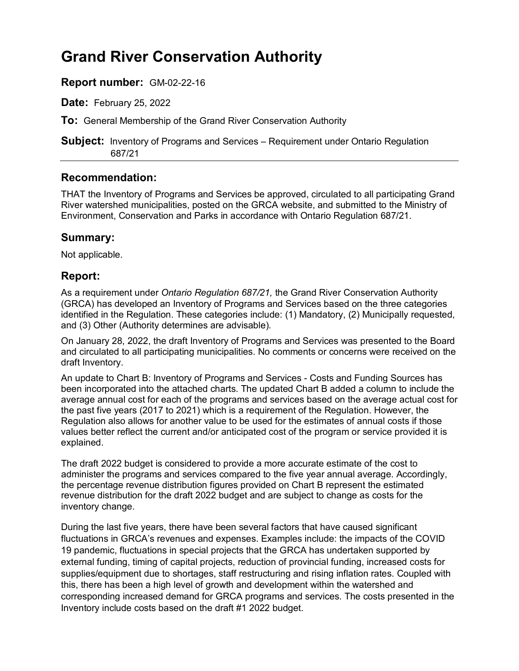# **Grand River Conservation Authority**

### **Report number:** GM-02-22-16

**Date:** February 25, 2022

**To:** General Membership of the Grand River Conservation Authority

**Subject:** Inventory of Programs and Services – Requirement under Ontario Regulation 687/21

#### **Recommendation:**

THAT the Inventory of Programs and Services be approved, circulated to all participating Grand River watershed municipalities, posted on the GRCA website, and submitted to the Ministry of Environment, Conservation and Parks in accordance with Ontario Regulation 687/21.

#### **Summary:**

Not applicable.

### **Report:**

As a requirement under *Ontario Regulation 687/21,* the Grand River Conservation Authority (GRCA) has developed an Inventory of Programs and Services based on the three categories identified in the Regulation. These categories include: (1) Mandatory, (2) Municipally requested, and (3) Other (Authority determines are advisable).

On January 28, 2022, the draft Inventory of Programs and Services was presented to the Board and circulated to all participating municipalities. No comments or concerns were received on the draft Inventory.

An update to Chart B: Inventory of Programs and Services - Costs and Funding Sources has been incorporated into the attached charts. The updated Chart B added a column to include the average annual cost for each of the programs and services based on the average actual cost for the past five years (2017 to 2021) which is a requirement of the Regulation. However, the Regulation also allows for another value to be used for the estimates of annual costs if those values better reflect the current and/or anticipated cost of the program or service provided it is explained.

The draft 2022 budget is considered to provide a more accurate estimate of the cost to administer the programs and services compared to the five year annual average. Accordingly, the percentage revenue distribution figures provided on Chart B represent the estimated revenue distribution for the draft 2022 budget and are subject to change as costs for the inventory change.

During the last five years, there have been several factors that have caused significant fluctuations in GRCA's revenues and expenses. Examples include: the impacts of the COVID 19 pandemic, fluctuations in special projects that the GRCA has undertaken supported by external funding, timing of capital projects, reduction of provincial funding, increased costs for supplies/equipment due to shortages, staff restructuring and rising inflation rates. Coupled with this, there has been a high level of growth and development within the watershed and corresponding increased demand for GRCA programs and services. The costs presented in the Inventory include costs based on the draft #1 2022 budget.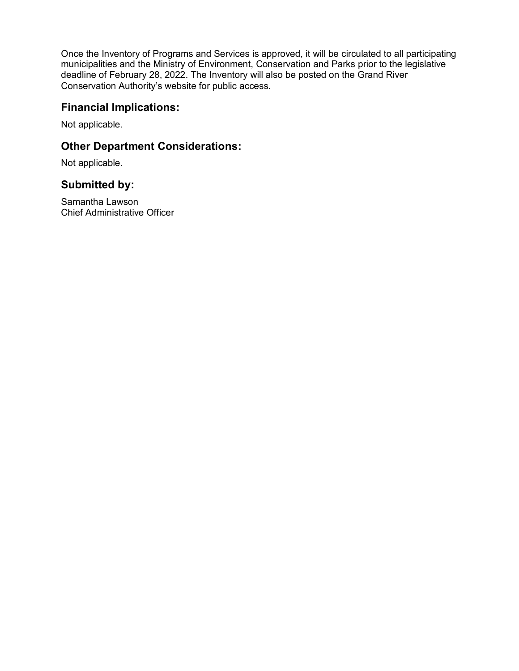Once the Inventory of Programs and Services is approved, it will be circulated to all participating municipalities and the Ministry of Environment, Conservation and Parks prior to the legislative deadline of February 28, 2022. The Inventory will also be posted on the Grand River Conservation Authority's website for public access.

#### **Financial Implications:**

Not applicable.

### **Other Department Considerations:**

Not applicable.

#### **Submitted by:**

Samantha Lawson Chief Administrative Officer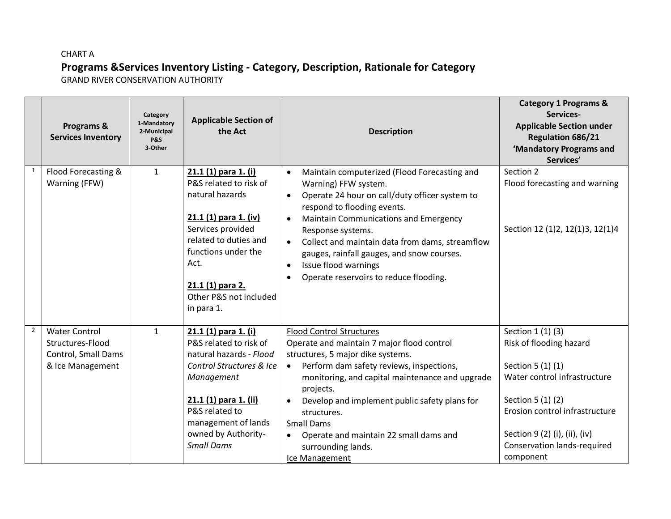# CHART A **Programs &Services Inventory Listing - Category, Description, Rationale for Category**

GRAND RIVER CONSERVATION AUTHORITY

|                | Programs &<br><b>Services Inventory</b>                                             | Category<br>1-Mandatory<br>2-Municipal<br><b>P&amp;S</b><br>3-Other | <b>Applicable Section of</b><br>the Act                                                                                                                                                                                             | <b>Description</b>                                                                                                                                                                                                                                                                                                                                                                                                                                             | <b>Category 1 Programs &amp;</b><br>Services-<br><b>Applicable Section under</b><br><b>Regulation 686/21</b><br>'Mandatory Programs and<br>Services'                                                                                         |
|----------------|-------------------------------------------------------------------------------------|---------------------------------------------------------------------|-------------------------------------------------------------------------------------------------------------------------------------------------------------------------------------------------------------------------------------|----------------------------------------------------------------------------------------------------------------------------------------------------------------------------------------------------------------------------------------------------------------------------------------------------------------------------------------------------------------------------------------------------------------------------------------------------------------|----------------------------------------------------------------------------------------------------------------------------------------------------------------------------------------------------------------------------------------------|
| $\mathbf{1}$   | Flood Forecasting &<br>Warning (FFW)                                                | $\mathbf{1}$                                                        | 21.1 (1) para 1. (i)<br>P&S related to risk of<br>natural hazards<br>21.1 (1) para 1. (iv)<br>Services provided<br>related to duties and<br>functions under the<br>Act.<br>21.1 (1) para 2.<br>Other P&S not included<br>in para 1. | Maintain computerized (Flood Forecasting and<br>$\bullet$<br>Warning) FFW system.<br>Operate 24 hour on call/duty officer system to<br>$\bullet$<br>respond to flooding events.<br><b>Maintain Communications and Emergency</b><br>$\bullet$<br>Response systems.<br>Collect and maintain data from dams, streamflow<br>$\bullet$<br>gauges, rainfall gauges, and snow courses.<br>Issue flood warnings<br>$\bullet$<br>Operate reservoirs to reduce flooding. | Section 2<br>Flood forecasting and warning<br>Section 12 (1)2, 12(1)3, 12(1)4                                                                                                                                                                |
| $\overline{2}$ | <b>Water Control</b><br>Structures-Flood<br>Control, Small Dams<br>& Ice Management | $\mathbf{1}$                                                        | 21.1 (1) para 1. (i)<br>P&S related to risk of<br>natural hazards - Flood<br>Control Structures & Ice<br>Management<br>21.1 (1) para 1. (ii)<br>P&S related to<br>management of lands<br>owned by Authority-<br><b>Small Dams</b>   | <b>Flood Control Structures</b><br>Operate and maintain 7 major flood control<br>structures, 5 major dike systems.<br>Perform dam safety reviews, inspections,<br>$\bullet$<br>monitoring, and capital maintenance and upgrade<br>projects.<br>Develop and implement public safety plans for<br>structures.<br><b>Small Dams</b><br>Operate and maintain 22 small dams and<br>surrounding lands.<br>Ice Management                                             | Section 1 (1) (3)<br>Risk of flooding hazard<br>Section 5 (1) (1)<br>Water control infrastructure<br>Section 5 (1) (2)<br>Erosion control infrastructure<br>Section 9 (2) (i), (ii), (iv)<br><b>Conservation lands-required</b><br>component |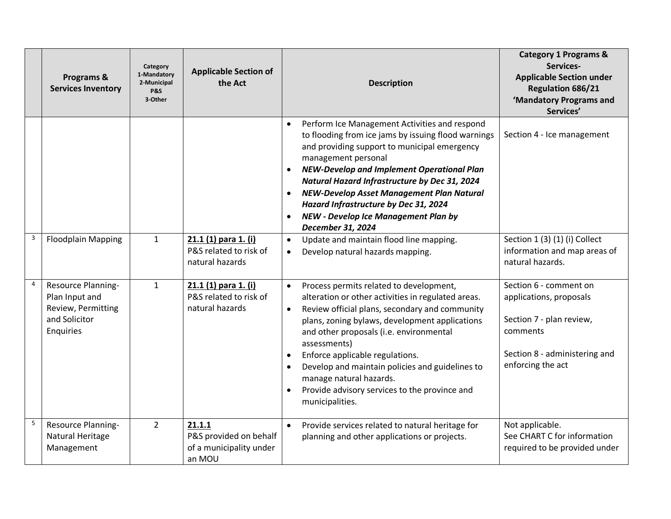|                | Programs &<br><b>Services Inventory</b>                                                  | Category<br>1-Mandatory<br>2-Municipal<br><b>P&amp;S</b><br>3-Other | <b>Applicable Section of</b><br>the Act                               | <b>Description</b>                                                                                                                                                                                                                                                                                                                                                                                                                                                                       | <b>Category 1 Programs &amp;</b><br>Services-<br><b>Applicable Section under</b><br>Regulation 686/21<br>'Mandatory Programs and<br>Services'   |
|----------------|------------------------------------------------------------------------------------------|---------------------------------------------------------------------|-----------------------------------------------------------------------|------------------------------------------------------------------------------------------------------------------------------------------------------------------------------------------------------------------------------------------------------------------------------------------------------------------------------------------------------------------------------------------------------------------------------------------------------------------------------------------|-------------------------------------------------------------------------------------------------------------------------------------------------|
|                |                                                                                          |                                                                     |                                                                       | Perform Ice Management Activities and respond<br>to flooding from ice jams by issuing flood warnings<br>and providing support to municipal emergency<br>management personal<br><b>NEW-Develop and Implement Operational Plan</b><br>Natural Hazard Infrastructure by Dec 31, 2024<br>NEW-Develop Asset Management Plan Natural<br>Hazard Infrastructure by Dec 31, 2024<br><b>NEW - Develop Ice Management Plan by</b><br>December 31, 2024                                              | Section 4 - Ice management                                                                                                                      |
| 3              | <b>Floodplain Mapping</b>                                                                | $\mathbf{1}$                                                        | 21.1 (1) para 1. (i)<br>P&S related to risk of<br>natural hazards     | Update and maintain flood line mapping.<br>$\bullet$<br>Develop natural hazards mapping.<br>$\bullet$                                                                                                                                                                                                                                                                                                                                                                                    | Section 1 (3) (1) (i) Collect<br>information and map areas of<br>natural hazards.                                                               |
| $\overline{4}$ | Resource Planning-<br>Plan Input and<br>Review, Permitting<br>and Solicitor<br>Enquiries | $\mathbf{1}$                                                        | 21.1 (1) para 1. (i)<br>P&S related to risk of<br>natural hazards     | Process permits related to development,<br>$\bullet$<br>alteration or other activities in regulated areas.<br>Review official plans, secondary and community<br>plans, zoning bylaws, development applications<br>and other proposals (i.e. environmental<br>assessments)<br>Enforce applicable regulations.<br>$\bullet$<br>Develop and maintain policies and guidelines to<br>manage natural hazards.<br>Provide advisory services to the province and<br>$\bullet$<br>municipalities. | Section 6 - comment on<br>applications, proposals<br>Section 7 - plan review,<br>comments<br>Section 8 - administering and<br>enforcing the act |
| 5              | Resource Planning-<br>Natural Heritage<br>Management                                     | $\overline{2}$                                                      | 21.1.1<br>P&S provided on behalf<br>of a municipality under<br>an MOU | Provide services related to natural heritage for<br>$\bullet$<br>planning and other applications or projects.                                                                                                                                                                                                                                                                                                                                                                            | Not applicable.<br>See CHART C for information<br>required to be provided under                                                                 |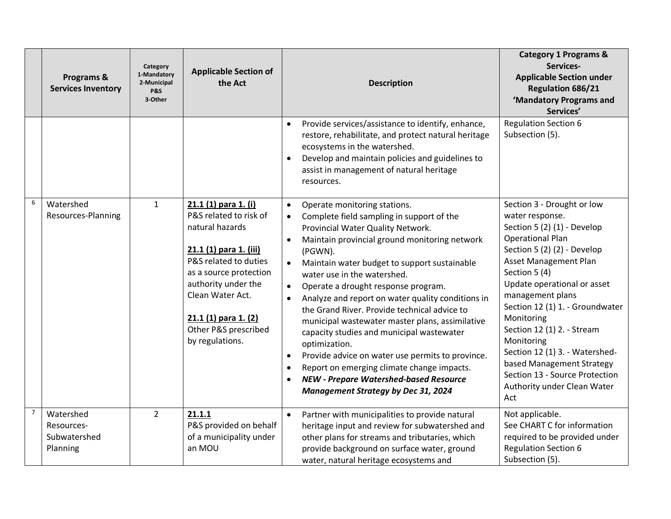|                | Programs &<br><b>Services Inventory</b>             | Category<br>1-Mandatory<br>2-Municipal<br><b>P&amp;S</b><br>3-Other | <b>Applicable Section of</b><br>the Act                                                                                                                                                                                                                       | <b>Description</b>                                                                                                                                                                                                                                                                                                                                                                                                                                                                                                                                                                                                                                                                                                                                                                                    | <b>Category 1 Programs &amp;</b><br>Services-<br><b>Applicable Section under</b><br><b>Regulation 686/21</b><br>'Mandatory Programs and<br>Services'                                                                                                                                                                                                                                                                                                                           |
|----------------|-----------------------------------------------------|---------------------------------------------------------------------|---------------------------------------------------------------------------------------------------------------------------------------------------------------------------------------------------------------------------------------------------------------|-------------------------------------------------------------------------------------------------------------------------------------------------------------------------------------------------------------------------------------------------------------------------------------------------------------------------------------------------------------------------------------------------------------------------------------------------------------------------------------------------------------------------------------------------------------------------------------------------------------------------------------------------------------------------------------------------------------------------------------------------------------------------------------------------------|--------------------------------------------------------------------------------------------------------------------------------------------------------------------------------------------------------------------------------------------------------------------------------------------------------------------------------------------------------------------------------------------------------------------------------------------------------------------------------|
|                |                                                     |                                                                     |                                                                                                                                                                                                                                                               | Provide services/assistance to identify, enhance,<br>restore, rehabilitate, and protect natural heritage<br>ecosystems in the watershed.<br>Develop and maintain policies and guidelines to<br>assist in management of natural heritage<br>resources.                                                                                                                                                                                                                                                                                                                                                                                                                                                                                                                                                 | <b>Regulation Section 6</b><br>Subsection (5).                                                                                                                                                                                                                                                                                                                                                                                                                                 |
| 6              | Watershed<br>Resources-Planning                     | $\mathbf{1}$                                                        | 21.1 (1) para 1. (i)<br>P&S related to risk of<br>natural hazards<br>21.1 (1) para 1. (iii)<br>P&S related to duties<br>as a source protection<br>authority under the<br>Clean Water Act.<br>$21.1(1)$ para 1. (2)<br>Other P&S prescribed<br>by regulations. | Operate monitoring stations.<br>$\bullet$<br>Complete field sampling in support of the<br>$\bullet$<br>Provincial Water Quality Network.<br>Maintain provincial ground monitoring network<br>$\bullet$<br>(PGWN).<br>Maintain water budget to support sustainable<br>$\bullet$<br>water use in the watershed.<br>Operate a drought response program.<br>Analyze and report on water quality conditions in<br>the Grand River. Provide technical advice to<br>municipal wastewater master plans, assimilative<br>capacity studies and municipal wastewater<br>optimization.<br>Provide advice on water use permits to province.<br>$\bullet$<br>Report on emerging climate change impacts.<br>$\bullet$<br><b>NEW - Prepare Watershed-based Resource</b><br><b>Management Strategy by Dec 31, 2024</b> | Section 3 - Drought or low<br>water response.<br>Section 5 (2) (1) - Develop<br><b>Operational Plan</b><br>Section 5 (2) (2) - Develop<br><b>Asset Management Plan</b><br>Section 5 (4)<br>Update operational or asset<br>management plans<br>Section 12 (1) 1. - Groundwater<br>Monitoring<br>Section 12 (1) 2. - Stream<br>Monitoring<br>Section 12 (1) 3. - Watershed-<br>based Management Strategy<br>Section 13 - Source Protection<br>Authority under Clean Water<br>Act |
| $\overline{7}$ | Watershed<br>Resources-<br>Subwatershed<br>Planning | $\overline{2}$                                                      | 21.1.1<br>P&S provided on behalf<br>of a municipality under<br>an MOU                                                                                                                                                                                         | Partner with municipalities to provide natural<br>$\bullet$<br>heritage input and review for subwatershed and<br>other plans for streams and tributaries, which<br>provide background on surface water, ground<br>water, natural heritage ecosystems and                                                                                                                                                                                                                                                                                                                                                                                                                                                                                                                                              | Not applicable.<br>See CHART C for information<br>required to be provided under<br><b>Regulation Section 6</b><br>Subsection (5).                                                                                                                                                                                                                                                                                                                                              |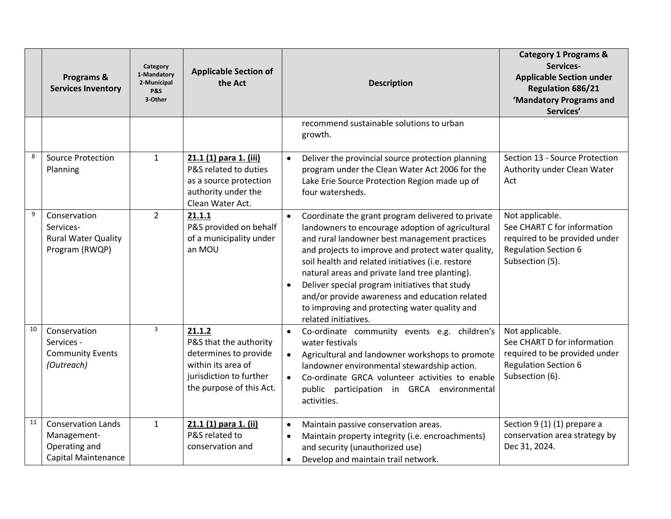|    | Programs &<br><b>Services Inventory</b>                                                 | Category<br>1-Mandatory<br>2-Municipal<br><b>P&amp;S</b><br>3-Other | <b>Applicable Section of</b><br>the Act                                                                                                | <b>Description</b>                                                                                                                                                                                                                                                                                                                                                                                                                                                                                                         | <b>Category 1 Programs &amp;</b><br>Services-<br><b>Applicable Section under</b><br><b>Regulation 686/21</b><br>'Mandatory Programs and<br>Services' |
|----|-----------------------------------------------------------------------------------------|---------------------------------------------------------------------|----------------------------------------------------------------------------------------------------------------------------------------|----------------------------------------------------------------------------------------------------------------------------------------------------------------------------------------------------------------------------------------------------------------------------------------------------------------------------------------------------------------------------------------------------------------------------------------------------------------------------------------------------------------------------|------------------------------------------------------------------------------------------------------------------------------------------------------|
|    |                                                                                         |                                                                     |                                                                                                                                        | recommend sustainable solutions to urban<br>growth.                                                                                                                                                                                                                                                                                                                                                                                                                                                                        |                                                                                                                                                      |
| 8  | <b>Source Protection</b><br>Planning                                                    | $\mathbf{1}$                                                        | 21.1 (1) para 1. (iii)<br>P&S related to duties<br>as a source protection<br>authority under the<br>Clean Water Act.                   | Deliver the provincial source protection planning<br>$\bullet$<br>program under the Clean Water Act 2006 for the<br>Lake Erie Source Protection Region made up of<br>four watersheds.                                                                                                                                                                                                                                                                                                                                      | Section 13 - Source Protection<br>Authority under Clean Water<br>Act                                                                                 |
| 9  | Conservation<br>Services-<br><b>Rural Water Quality</b><br>Program (RWQP)               | $\overline{2}$                                                      | 21.1.1<br>P&S provided on behalf<br>of a municipality under<br>an MOU                                                                  | Coordinate the grant program delivered to private<br>$\bullet$<br>landowners to encourage adoption of agricultural<br>and rural landowner best management practices<br>and projects to improve and protect water quality,<br>soil health and related initiatives (i.e. restore<br>natural areas and private land tree planting).<br>Deliver special program initiatives that study<br>$\bullet$<br>and/or provide awareness and education related<br>to improving and protecting water quality and<br>related initiatives. | Not applicable.<br>See CHART C for information<br>required to be provided under<br><b>Regulation Section 6</b><br>Subsection (5).                    |
| 10 | Conservation<br>Services -<br><b>Community Events</b><br>(Outreach)                     | 3                                                                   | 21.1.2<br>P&S that the authority<br>determines to provide<br>within its area of<br>jurisdiction to further<br>the purpose of this Act. | Co-ordinate community events e.g. children's<br>$\bullet$<br>water festivals<br>Agricultural and landowner workshops to promote<br>landowner environmental stewardship action.<br>Co-ordinate GRCA volunteer activities to enable<br>$\bullet$<br>public participation in GRCA environmental<br>activities.                                                                                                                                                                                                                | Not applicable.<br>See CHART D for information<br>required to be provided under<br><b>Regulation Section 6</b><br>Subsection (6).                    |
| 11 | <b>Conservation Lands</b><br>Management-<br>Operating and<br><b>Capital Maintenance</b> | $\mathbf{1}$                                                        | 21.1 (1) para 1. (ii)<br>P&S related to<br>conservation and                                                                            | Maintain passive conservation areas.<br>$\bullet$<br>Maintain property integrity (i.e. encroachments)<br>$\bullet$<br>and security (unauthorized use)<br>Develop and maintain trail network.<br>$\bullet$                                                                                                                                                                                                                                                                                                                  | Section 9 (1) (1) prepare a<br>conservation area strategy by<br>Dec 31, 2024.                                                                        |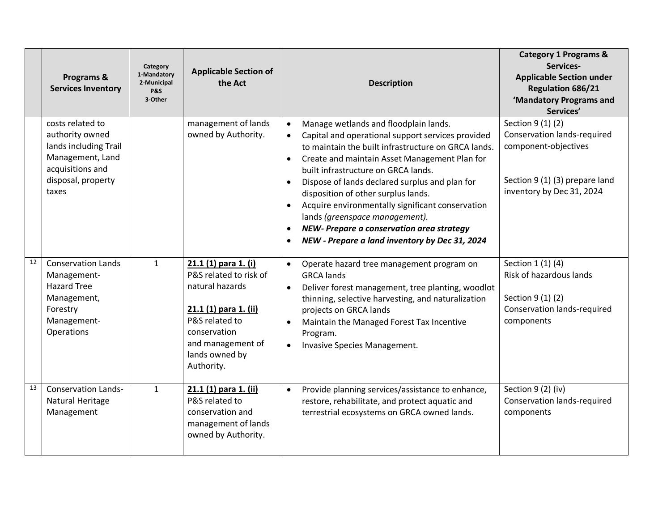|    | Programs &<br><b>Services Inventory</b>                                                                                             | Category<br>1-Mandatory<br>2-Municipal<br><b>P&amp;S</b><br>3-Other | <b>Applicable Section of</b><br>the Act                                                                                                                                           | <b>Description</b>                                                                                                                                                                                                                                                                                                                                                                                                                                                                                                                                | <b>Category 1 Programs &amp;</b><br>Services-<br><b>Applicable Section under</b><br><b>Regulation 686/21</b><br>'Mandatory Programs and<br>Services' |
|----|-------------------------------------------------------------------------------------------------------------------------------------|---------------------------------------------------------------------|-----------------------------------------------------------------------------------------------------------------------------------------------------------------------------------|---------------------------------------------------------------------------------------------------------------------------------------------------------------------------------------------------------------------------------------------------------------------------------------------------------------------------------------------------------------------------------------------------------------------------------------------------------------------------------------------------------------------------------------------------|------------------------------------------------------------------------------------------------------------------------------------------------------|
|    | costs related to<br>authority owned<br>lands including Trail<br>Management, Land<br>acquisitions and<br>disposal, property<br>taxes |                                                                     | management of lands<br>owned by Authority.                                                                                                                                        | Manage wetlands and floodplain lands.<br>Capital and operational support services provided<br>$\bullet$<br>to maintain the built infrastructure on GRCA lands.<br>Create and maintain Asset Management Plan for<br>$\bullet$<br>built infrastructure on GRCA lands.<br>Dispose of lands declared surplus and plan for<br>disposition of other surplus lands.<br>Acquire environmentally significant conservation<br>lands (greenspace management).<br>NEW- Prepare a conservation area strategy<br>NEW - Prepare a land inventory by Dec 31, 2024 | Section 9 (1) (2)<br>Conservation lands-required<br>component-objectives<br>Section 9 (1) (3) prepare land<br>inventory by Dec 31, 2024              |
| 12 | <b>Conservation Lands</b><br>Management-<br><b>Hazard Tree</b><br>Management,<br>Forestry<br>Management-<br>Operations              | $\mathbf{1}$                                                        | 21.1 (1) para 1. (i)<br>P&S related to risk of<br>natural hazards<br>21.1 (1) para 1. (ii)<br>P&S related to<br>conservation<br>and management of<br>lands owned by<br>Authority. | Operate hazard tree management program on<br>$\bullet$<br><b>GRCA lands</b><br>Deliver forest management, tree planting, woodlot<br>$\bullet$<br>thinning, selective harvesting, and naturalization<br>projects on GRCA lands<br>Maintain the Managed Forest Tax Incentive<br>Program.<br>Invasive Species Management.<br>$\bullet$                                                                                                                                                                                                               | Section 1 (1) (4)<br>Risk of hazardous lands<br>Section 9 (1) (2)<br><b>Conservation lands-required</b><br>components                                |
| 13 | <b>Conservation Lands-</b><br>Natural Heritage<br>Management                                                                        | $\mathbf{1}$                                                        | 21.1 (1) para 1. (ii)<br>P&S related to<br>conservation and<br>management of lands<br>owned by Authority.                                                                         | Provide planning services/assistance to enhance,<br>$\bullet$<br>restore, rehabilitate, and protect aquatic and<br>terrestrial ecosystems on GRCA owned lands.                                                                                                                                                                                                                                                                                                                                                                                    | Section 9 (2) (iv)<br><b>Conservation lands-required</b><br>components                                                                               |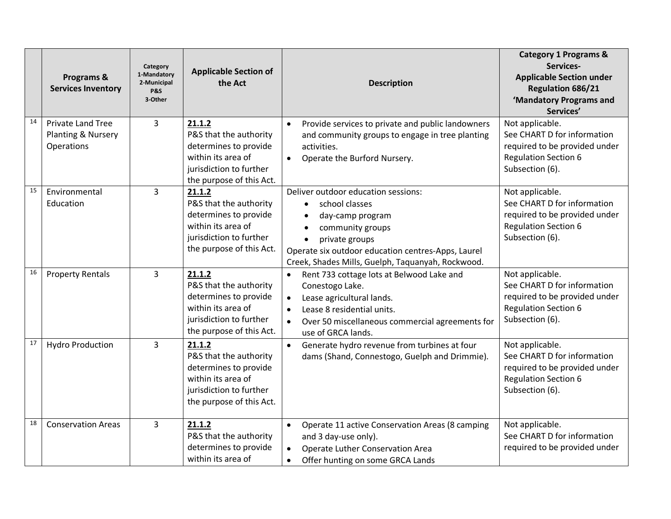|    | Programs &<br><b>Services Inventory</b>                      | Category<br>1-Mandatory<br>2-Municipal<br><b>P&amp;S</b><br>3-Other | <b>Applicable Section of</b><br>the Act                                                                                                | <b>Description</b>                                                                                                                                                                                                                      | <b>Category 1 Programs &amp;</b><br>Services-<br><b>Applicable Section under</b><br><b>Regulation 686/21</b><br>'Mandatory Programs and<br>Services' |
|----|--------------------------------------------------------------|---------------------------------------------------------------------|----------------------------------------------------------------------------------------------------------------------------------------|-----------------------------------------------------------------------------------------------------------------------------------------------------------------------------------------------------------------------------------------|------------------------------------------------------------------------------------------------------------------------------------------------------|
| 14 | <b>Private Land Tree</b><br>Planting & Nursery<br>Operations | 3                                                                   | 21.1.2<br>P&S that the authority<br>determines to provide<br>within its area of<br>jurisdiction to further<br>the purpose of this Act. | Provide services to private and public landowners<br>$\bullet$<br>and community groups to engage in tree planting<br>activities.<br>Operate the Burford Nursery.<br>$\bullet$                                                           | Not applicable.<br>See CHART D for information<br>required to be provided under<br><b>Regulation Section 6</b><br>Subsection (6).                    |
| 15 | Environmental<br>Education                                   | 3                                                                   | 21.1.2<br>P&S that the authority<br>determines to provide<br>within its area of<br>jurisdiction to further<br>the purpose of this Act. | Deliver outdoor education sessions:<br>school classes<br>$\bullet$<br>day-camp program<br>community groups<br>private groups<br>Operate six outdoor education centres-Apps, Laurel<br>Creek, Shades Mills, Guelph, Taquanyah, Rockwood. | Not applicable.<br>See CHART D for information<br>required to be provided under<br><b>Regulation Section 6</b><br>Subsection (6).                    |
| 16 | <b>Property Rentals</b>                                      | 3                                                                   | 21.1.2<br>P&S that the authority<br>determines to provide<br>within its area of<br>jurisdiction to further<br>the purpose of this Act. | Rent 733 cottage lots at Belwood Lake and<br>$\bullet$<br>Conestogo Lake.<br>Lease agricultural lands.<br>$\bullet$<br>Lease 8 residential units.<br>Over 50 miscellaneous commercial agreements for<br>use of GRCA lands.              | Not applicable.<br>See CHART D for information<br>required to be provided under<br><b>Regulation Section 6</b><br>Subsection (6).                    |
| 17 | <b>Hydro Production</b>                                      | $\overline{3}$                                                      | 21.1.2<br>P&S that the authority<br>determines to provide<br>within its area of<br>jurisdiction to further<br>the purpose of this Act. | Generate hydro revenue from turbines at four<br>dams (Shand, Connestogo, Guelph and Drimmie).                                                                                                                                           | Not applicable.<br>See CHART D for information<br>required to be provided under<br><b>Regulation Section 6</b><br>Subsection (6).                    |
| 18 | <b>Conservation Areas</b>                                    | 3                                                                   | 21.1.2<br>P&S that the authority<br>determines to provide<br>within its area of                                                        | Operate 11 active Conservation Areas (8 camping<br>$\bullet$<br>and 3 day-use only).<br>Operate Luther Conservation Area<br>Offer hunting on some GRCA Lands<br>$\bullet$                                                               | Not applicable.<br>See CHART D for information<br>required to be provided under                                                                      |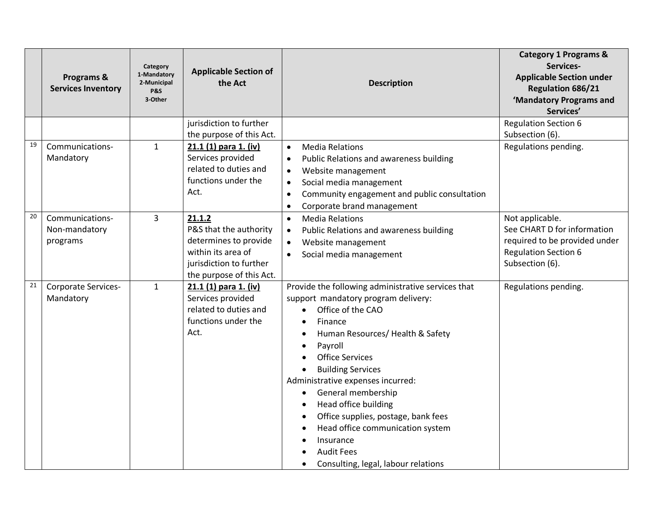|    | Programs &<br><b>Services Inventory</b>      | Category<br>1-Mandatory<br>2-Municipal<br><b>P&amp;S</b><br>3-Other | <b>Applicable Section of</b><br>the Act                                                                                                | <b>Description</b>                                                                                                                                                                                                                                                                                                                                                                                                                                                                              | <b>Category 1 Programs &amp;</b><br>Services-<br><b>Applicable Section under</b><br><b>Regulation 686/21</b><br>'Mandatory Programs and<br>Services' |
|----|----------------------------------------------|---------------------------------------------------------------------|----------------------------------------------------------------------------------------------------------------------------------------|-------------------------------------------------------------------------------------------------------------------------------------------------------------------------------------------------------------------------------------------------------------------------------------------------------------------------------------------------------------------------------------------------------------------------------------------------------------------------------------------------|------------------------------------------------------------------------------------------------------------------------------------------------------|
|    |                                              |                                                                     | jurisdiction to further<br>the purpose of this Act.                                                                                    |                                                                                                                                                                                                                                                                                                                                                                                                                                                                                                 | <b>Regulation Section 6</b><br>Subsection (6).                                                                                                       |
| 19 | Communications-<br>Mandatory                 | $\mathbf{1}$                                                        | 21.1 (1) para 1. (iv)<br>Services provided<br>related to duties and<br>functions under the<br>Act.                                     | <b>Media Relations</b><br>$\bullet$<br>Public Relations and awareness building<br>$\bullet$<br>Website management<br>$\bullet$<br>Social media management<br>$\bullet$<br>Community engagement and public consultation<br>$\bullet$<br>Corporate brand management<br>$\bullet$                                                                                                                                                                                                                  | Regulations pending.                                                                                                                                 |
| 20 | Communications-<br>Non-mandatory<br>programs | 3                                                                   | 21.1.2<br>P&S that the authority<br>determines to provide<br>within its area of<br>jurisdiction to further<br>the purpose of this Act. | <b>Media Relations</b><br>$\bullet$<br>Public Relations and awareness building<br>$\bullet$<br>Website management<br>$\bullet$<br>Social media management<br>$\bullet$                                                                                                                                                                                                                                                                                                                          | Not applicable.<br>See CHART D for information<br>required to be provided under<br><b>Regulation Section 6</b><br>Subsection (6).                    |
| 21 | Corporate Services-<br>Mandatory             | $\mathbf{1}$                                                        | 21.1 (1) para 1. (iv)<br>Services provided<br>related to duties and<br>functions under the<br>Act.                                     | Provide the following administrative services that<br>support mandatory program delivery:<br>Office of the CAO<br>$\bullet$<br>Finance<br>$\bullet$<br>Human Resources/ Health & Safety<br>Payroll<br><b>Office Services</b><br><b>Building Services</b><br>Administrative expenses incurred:<br>General membership<br>Head office building<br>Office supplies, postage, bank fees<br>Head office communication system<br>Insurance<br><b>Audit Fees</b><br>Consulting, legal, labour relations | Regulations pending.                                                                                                                                 |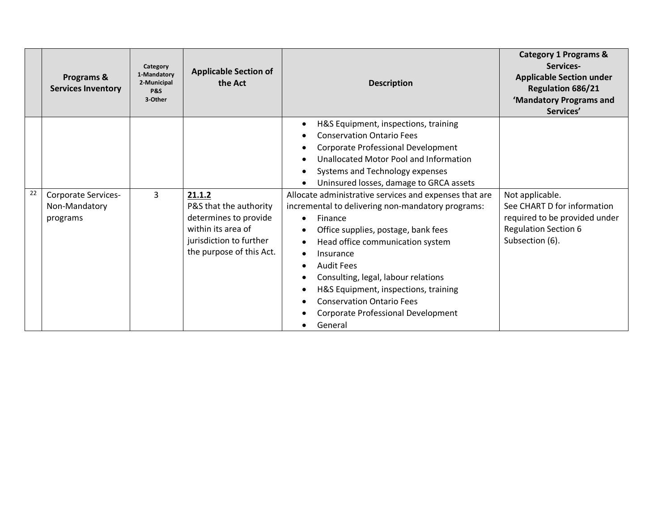|    | Programs &<br><b>Services Inventory</b>                 | Category<br>1-Mandatory<br>2-Municipal<br><b>P&amp;S</b><br>3-Other | <b>Applicable Section of</b><br>the Act                                                                                                | <b>Description</b>                                                                                                                                                                                                                                                                                                                                                                                      | <b>Category 1 Programs &amp;</b><br>Services-<br><b>Applicable Section under</b><br><b>Regulation 686/21</b><br>'Mandatory Programs and<br>Services' |
|----|---------------------------------------------------------|---------------------------------------------------------------------|----------------------------------------------------------------------------------------------------------------------------------------|---------------------------------------------------------------------------------------------------------------------------------------------------------------------------------------------------------------------------------------------------------------------------------------------------------------------------------------------------------------------------------------------------------|------------------------------------------------------------------------------------------------------------------------------------------------------|
|    |                                                         |                                                                     |                                                                                                                                        | H&S Equipment, inspections, training<br>٠<br><b>Conservation Ontario Fees</b><br>Corporate Professional Development<br>Unallocated Motor Pool and Information<br>Systems and Technology expenses<br>Uninsured losses, damage to GRCA assets                                                                                                                                                             |                                                                                                                                                      |
| 22 | <b>Corporate Services-</b><br>Non-Mandatory<br>programs | $\overline{3}$                                                      | 21.1.2<br>P&S that the authority<br>determines to provide<br>within its area of<br>jurisdiction to further<br>the purpose of this Act. | Allocate administrative services and expenses that are<br>incremental to delivering non-mandatory programs:<br>Finance<br>Office supplies, postage, bank fees<br>Head office communication system<br>Insurance<br><b>Audit Fees</b><br>Consulting, legal, labour relations<br>H&S Equipment, inspections, training<br><b>Conservation Ontario Fees</b><br>Corporate Professional Development<br>General | Not applicable.<br>See CHART D for information<br>required to be provided under<br><b>Regulation Section 6</b><br>Subsection (6).                    |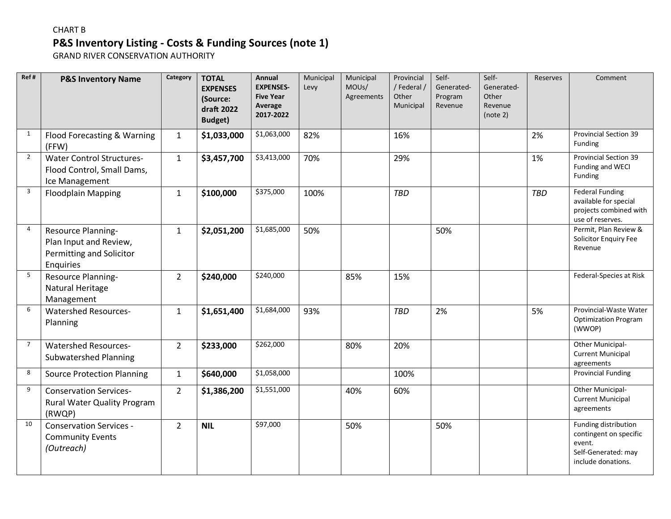## **P&S Inventory Listing - Costs & Funding Sources (note 1)**  CHART B

GRAND RIVER CONSERVATION AUTHORITY

| Ref#           | <b>P&amp;S Inventory Name</b>                                                         | Category       | <b>TOTAL</b><br><b>EXPENSES</b><br>(Source:<br>draft 2022<br><b>Budget</b> ) | Annual<br><b>EXPENSES-</b><br><b>Five Year</b><br>Average<br>2017-2022 | Municipal<br>Levy | Municipal<br>MOUs/<br>Agreements | Provincial<br>/Federal /<br>Other<br>Municipal | Self-<br>Generated-<br>Program<br>Revenue | Self-<br>Generated-<br>Other<br>Revenue<br>(note 2) | Reserves   | Comment                                                                                               |
|----------------|---------------------------------------------------------------------------------------|----------------|------------------------------------------------------------------------------|------------------------------------------------------------------------|-------------------|----------------------------------|------------------------------------------------|-------------------------------------------|-----------------------------------------------------|------------|-------------------------------------------------------------------------------------------------------|
| $\mathbf{1}$   | Flood Forecasting & Warning<br>(FFW)                                                  | $\mathbf{1}$   | \$1,033,000                                                                  | \$1,063,000                                                            | 82%               |                                  | 16%                                            |                                           |                                                     | 2%         | Provincial Section 39<br>Funding                                                                      |
| $\overline{2}$ | <b>Water Control Structures-</b><br>Flood Control, Small Dams,<br>Ice Management      | $\mathbf{1}$   | \$3,457,700                                                                  | \$3,413,000                                                            | 70%               |                                  | 29%                                            |                                           |                                                     | 1%         | Provincial Section 39<br>Funding and WECI<br>Funding                                                  |
| $\overline{3}$ | <b>Floodplain Mapping</b>                                                             | $\mathbf{1}$   | \$100,000                                                                    | \$375,000                                                              | 100%              |                                  | <b>TBD</b>                                     |                                           |                                                     | <b>TBD</b> | <b>Federal Funding</b><br>available for special<br>projects combined with<br>use of reserves.         |
| 4              | Resource Planning-<br>Plan Input and Review,<br>Permitting and Solicitor<br>Enquiries | $\mathbf{1}$   | \$2,051,200                                                                  | \$1,685,000                                                            | 50%               |                                  |                                                | 50%                                       |                                                     |            | Permit, Plan Review &<br>Solicitor Enquiry Fee<br>Revenue                                             |
| 5              | Resource Planning-<br>Natural Heritage<br>Management                                  | $\overline{2}$ | \$240,000                                                                    | \$240,000                                                              |                   | 85%                              | 15%                                            |                                           |                                                     |            | Federal-Species at Risk                                                                               |
| 6              | <b>Watershed Resources-</b><br>Planning                                               | $\mathbf{1}$   | \$1,651,400                                                                  | \$1,684,000                                                            | 93%               |                                  | <b>TBD</b>                                     | 2%                                        |                                                     | 5%         | Provincial-Waste Water<br><b>Optimization Program</b><br>(WWOP)                                       |
| $\overline{7}$ | <b>Watershed Resources-</b><br><b>Subwatershed Planning</b>                           | $\overline{2}$ | \$233,000                                                                    | \$262,000                                                              |                   | 80%                              | 20%                                            |                                           |                                                     |            | Other Municipal-<br><b>Current Municipal</b><br>agreements                                            |
| 8              | <b>Source Protection Planning</b>                                                     | $\mathbf{1}$   | \$640,000                                                                    | \$1,058,000                                                            |                   |                                  | 100%                                           |                                           |                                                     |            | <b>Provincial Funding</b>                                                                             |
| 9              | <b>Conservation Services-</b><br>Rural Water Quality Program<br>(RWQP)                | $\overline{2}$ | \$1,386,200                                                                  | \$1,551,000                                                            |                   | 40%                              | 60%                                            |                                           |                                                     |            | Other Municipal-<br><b>Current Municipal</b><br>agreements                                            |
| 10             | <b>Conservation Services -</b><br><b>Community Events</b><br>(Outreach)               | $\overline{2}$ | <b>NIL</b>                                                                   | \$97,000                                                               |                   | 50%                              |                                                | 50%                                       |                                                     |            | Funding distribution<br>contingent on specific<br>event.<br>Self-Generated: may<br>include donations. |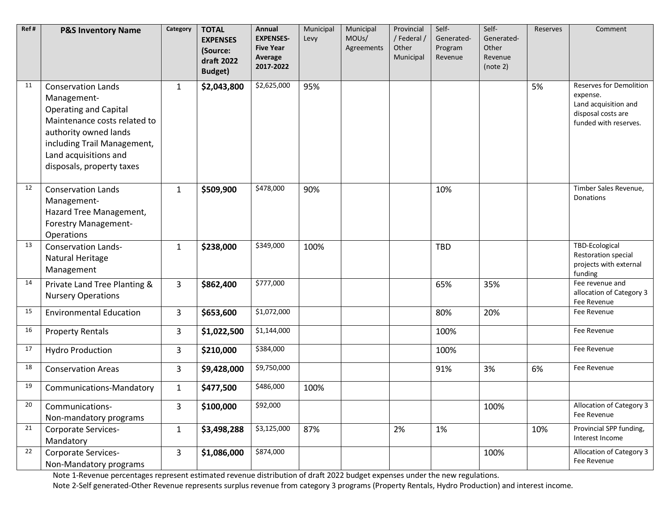| Ref# | <b>P&amp;S Inventory Name</b>                                                                                                                                                                                          | Category     | <b>TOTAL</b><br><b>EXPENSES</b> | Annual<br><b>EXPENSES-</b>  | Municipal<br>Levy | Municipal<br>MOUs/ | Provincial<br>/Federal/ | Self-<br>Generated- | Self-<br>Generated- | Reserves | Comment                                                                                                           |
|------|------------------------------------------------------------------------------------------------------------------------------------------------------------------------------------------------------------------------|--------------|---------------------------------|-----------------------------|-------------------|--------------------|-------------------------|---------------------|---------------------|----------|-------------------------------------------------------------------------------------------------------------------|
|      |                                                                                                                                                                                                                        |              | (Source:<br>draft 2022          | <b>Five Year</b><br>Average |                   | Agreements         | Other<br>Municipal      | Program<br>Revenue  | Other<br>Revenue    |          |                                                                                                                   |
|      |                                                                                                                                                                                                                        |              | <b>Budget)</b>                  | 2017-2022                   |                   |                    |                         |                     | (note 2)            |          |                                                                                                                   |
| 11   | <b>Conservation Lands</b><br>Management-<br><b>Operating and Capital</b><br>Maintenance costs related to<br>authority owned lands<br>including Trail Management,<br>Land acquisitions and<br>disposals, property taxes | $\mathbf{1}$ | \$2,043,800                     | \$2,625,000                 | 95%               |                    |                         |                     |                     | 5%       | <b>Reserves for Demolition</b><br>expense.<br>Land acquisition and<br>disposal costs are<br>funded with reserves. |
| 12   | <b>Conservation Lands</b><br>Management-<br>Hazard Tree Management,<br><b>Forestry Management-</b><br>Operations                                                                                                       | $\mathbf{1}$ | \$509,900                       | \$478,000                   | 90%               |                    |                         | 10%                 |                     |          | Timber Sales Revenue,<br>Donations                                                                                |
| 13   | <b>Conservation Lands-</b><br>Natural Heritage<br>Management                                                                                                                                                           | $\mathbf{1}$ | \$238,000                       | \$349,000                   | 100%              |                    |                         | <b>TBD</b>          |                     |          | TBD-Ecological<br>Restoration special<br>projects with external<br>funding                                        |
| 14   | Private Land Tree Planting &<br><b>Nursery Operations</b>                                                                                                                                                              | 3            | \$862,400                       | \$777,000                   |                   |                    |                         | 65%                 | 35%                 |          | Fee revenue and<br>allocation of Category 3<br>Fee Revenue                                                        |
| 15   | <b>Environmental Education</b>                                                                                                                                                                                         | 3            | \$653,600                       | \$1,072,000                 |                   |                    |                         | 80%                 | 20%                 |          | Fee Revenue                                                                                                       |
| 16   | <b>Property Rentals</b>                                                                                                                                                                                                | 3            | \$1,022,500                     | \$1,144,000                 |                   |                    |                         | 100%                |                     |          | Fee Revenue                                                                                                       |
| 17   | <b>Hydro Production</b>                                                                                                                                                                                                | 3            | \$210,000                       | \$384,000                   |                   |                    |                         | 100%                |                     |          | Fee Revenue                                                                                                       |
| 18   | <b>Conservation Areas</b>                                                                                                                                                                                              | 3            | \$9,428,000                     | \$9,750,000                 |                   |                    |                         | 91%                 | 3%                  | 6%       | Fee Revenue                                                                                                       |
| 19   | Communications-Mandatory                                                                                                                                                                                               | $\mathbf{1}$ | \$477,500                       | \$486,000                   | 100%              |                    |                         |                     |                     |          |                                                                                                                   |
| 20   | Communications-<br>Non-mandatory programs                                                                                                                                                                              | 3            | \$100,000                       | \$92,000                    |                   |                    |                         |                     | 100%                |          | Allocation of Category 3<br>Fee Revenue                                                                           |
| 21   | <b>Corporate Services-</b><br>Mandatory                                                                                                                                                                                | $\mathbf{1}$ | \$3,498,288                     | \$3,125,000                 | 87%               |                    | 2%                      | 1%                  |                     | 10%      | Provincial SPP funding,<br>Interest Income                                                                        |
| 22   | Corporate Services-<br>Non-Mandatory programs                                                                                                                                                                          | 3            | \$1,086,000                     | \$874,000                   |                   |                    |                         |                     | 100%                |          | Allocation of Category 3<br>Fee Revenue                                                                           |

Note 1-Revenue percentages represent estimated revenue distribution of draft 2022 budget expenses under the new regulations.

Note 2-Self generated-Other Revenue represents surplus revenue from category 3 programs (Property Rentals, Hydro Production) and interest income.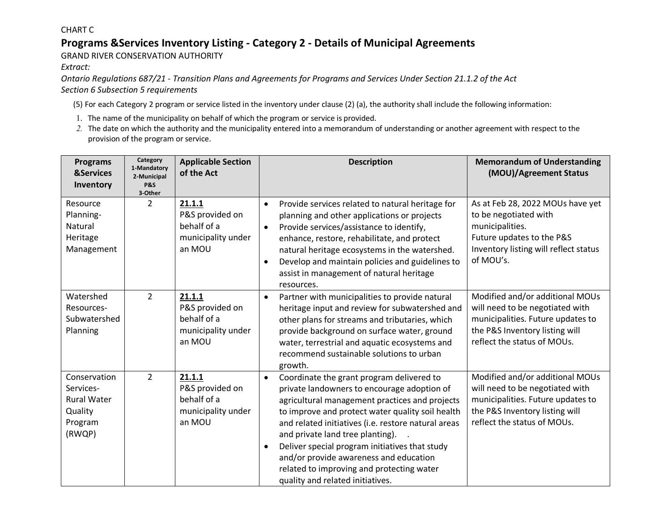#### CHART C

### **Programs &Services Inventory Listing - Category 2 - Details of Municipal Agreements**

GRAND RIVER CONSERVATION AUTHORITY

*Extract:* 

*Ontario Regulations 687/21 - Transition Plans and Agreements for Programs and Services Under Section 21.1.2 of the Act Section 6 Subsection 5 requirements* 

(5) For each Category 2 program or service listed in the inventory under clause (2) (a), the authority shall include the following information:

- 1. The name of the municipality on behalf of which the program or service is provided.
- *2.* The date on which the authority and the municipality entered into a memorandum of understanding or another agreement with respect to the provision of the program or service.

| <b>Programs</b><br><b>&amp;Services</b><br>Inventory                            | Category<br>1-Mandatory<br>2-Municipal<br><b>P&amp;S</b><br>3-Other | <b>Applicable Section</b><br>of the Act                                  | <b>Description</b>                                                                                                                                                                                                                                                                                                                                                                                                                                                                               | <b>Memorandum of Understanding</b><br>(MOU)/Agreement Status                                                                                                             |
|---------------------------------------------------------------------------------|---------------------------------------------------------------------|--------------------------------------------------------------------------|--------------------------------------------------------------------------------------------------------------------------------------------------------------------------------------------------------------------------------------------------------------------------------------------------------------------------------------------------------------------------------------------------------------------------------------------------------------------------------------------------|--------------------------------------------------------------------------------------------------------------------------------------------------------------------------|
| Resource<br>Planning-<br>Natural<br>Heritage<br>Management                      | $\overline{2}$                                                      | 21.1.1<br>P&S provided on<br>behalf of a<br>municipality under<br>an MOU | Provide services related to natural heritage for<br>$\bullet$<br>planning and other applications or projects<br>Provide services/assistance to identify,<br>$\bullet$<br>enhance, restore, rehabilitate, and protect<br>natural heritage ecosystems in the watershed.<br>Develop and maintain policies and guidelines to<br>$\bullet$<br>assist in management of natural heritage<br>resources.                                                                                                  | As at Feb 28, 2022 MOUs have yet<br>to be negotiated with<br>municipalities.<br>Future updates to the P&S<br>Inventory listing will reflect status<br>of MOU's.          |
| Watershed<br>Resources-<br>Subwatershed<br>Planning                             | $\overline{2}$                                                      | 21.1.1<br>P&S provided on<br>behalf of a<br>municipality under<br>an MOU | Partner with municipalities to provide natural<br>$\bullet$<br>heritage input and review for subwatershed and<br>other plans for streams and tributaries, which<br>provide background on surface water, ground<br>water, terrestrial and aquatic ecosystems and<br>recommend sustainable solutions to urban<br>growth.                                                                                                                                                                           | Modified and/or additional MOUs<br>will need to be negotiated with<br>municipalities. Future updates to<br>the P&S Inventory listing will<br>reflect the status of MOUs. |
| Conservation<br>Services-<br><b>Rural Water</b><br>Quality<br>Program<br>(RWQP) | $\overline{2}$                                                      | 21.1.1<br>P&S provided on<br>behalf of a<br>municipality under<br>an MOU | Coordinate the grant program delivered to<br>$\bullet$<br>private landowners to encourage adoption of<br>agricultural management practices and projects<br>to improve and protect water quality soil health<br>and related initiatives (i.e. restore natural areas<br>and private land tree planting).<br>Deliver special program initiatives that study<br>$\bullet$<br>and/or provide awareness and education<br>related to improving and protecting water<br>quality and related initiatives. | Modified and/or additional MOUs<br>will need to be negotiated with<br>municipalities. Future updates to<br>the P&S Inventory listing will<br>reflect the status of MOUs. |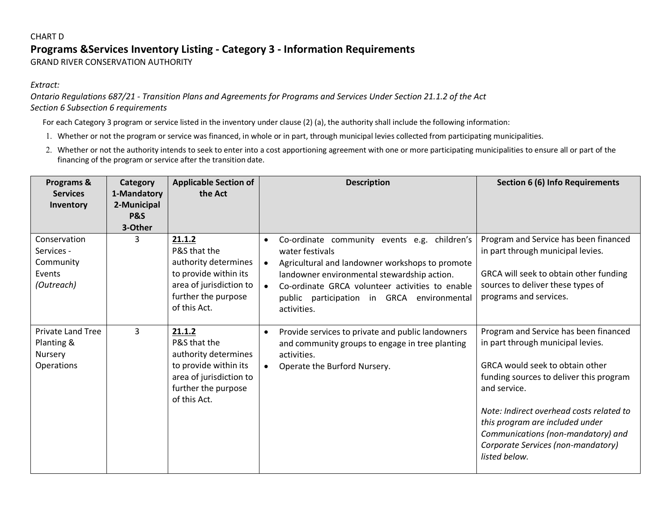#### **Programs &Services Inventory Listing - Category 3 - Information Requirements**  CHART D GRAND RIVER CONSERVATION AUTHORITY

#### *Extract:*

*Ontario Regulations 687/21 - Transition Plans and Agreements for Programs and Services Under Section 21.1.2 of the Act Section 6 Subsection 6 requirements* 

For each Category 3 program or service listed in the inventory under clause (2) (a), the authority shall include the following information:

1. Whether or not the program or service was financed, in whole or in part, through municipal levies collected from participating municipalities.

 financing of the program or service after the transition date. 2. Whether or not the authority intends to seek to enter into a cost apportioning agreement with one or more participating municipalities to ensure all or part of the

| Programs &<br><b>Services</b><br>Inventory                      | Category<br>1-Mandatory<br>2-Municipal | <b>Applicable Section of</b><br>the Act                                                                                                   | <b>Description</b>                                                                                                                                                                                                                                                                                          | <b>Section 6 (6) Info Requirements</b>                                                                                                                                                                                                                                                                                                               |
|-----------------------------------------------------------------|----------------------------------------|-------------------------------------------------------------------------------------------------------------------------------------------|-------------------------------------------------------------------------------------------------------------------------------------------------------------------------------------------------------------------------------------------------------------------------------------------------------------|------------------------------------------------------------------------------------------------------------------------------------------------------------------------------------------------------------------------------------------------------------------------------------------------------------------------------------------------------|
|                                                                 | <b>P&amp;S</b><br>3-Other              |                                                                                                                                           |                                                                                                                                                                                                                                                                                                             |                                                                                                                                                                                                                                                                                                                                                      |
| Conservation<br>Services -<br>Community<br>Events<br>(Outreach) | 3                                      | 21.1.2<br>P&S that the<br>authority determines<br>to provide within its<br>area of jurisdiction to<br>further the purpose<br>of this Act. | Co-ordinate community events e.g. children's<br>$\bullet$<br>water festivals<br>Agricultural and landowner workshops to promote<br>landowner environmental stewardship action.<br>Co-ordinate GRCA volunteer activities to enable<br>$\bullet$<br>public participation in GRCA environmental<br>activities. | Program and Service has been financed<br>in part through municipal levies.<br>GRCA will seek to obtain other funding<br>sources to deliver these types of<br>programs and services.                                                                                                                                                                  |
| <b>Private Land Tree</b><br>Planting &<br>Nursery<br>Operations | 3                                      | 21.1.2<br>P&S that the<br>authority determines<br>to provide within its<br>area of jurisdiction to<br>further the purpose<br>of this Act. | Provide services to private and public landowners<br>and community groups to engage in tree planting<br>activities.<br>Operate the Burford Nursery.                                                                                                                                                         | Program and Service has been financed<br>in part through municipal levies.<br>GRCA would seek to obtain other<br>funding sources to deliver this program<br>and service.<br>Note: Indirect overhead costs related to<br>this program are included under<br>Communications (non-mandatory) and<br>Corporate Services (non-mandatory)<br>listed below. |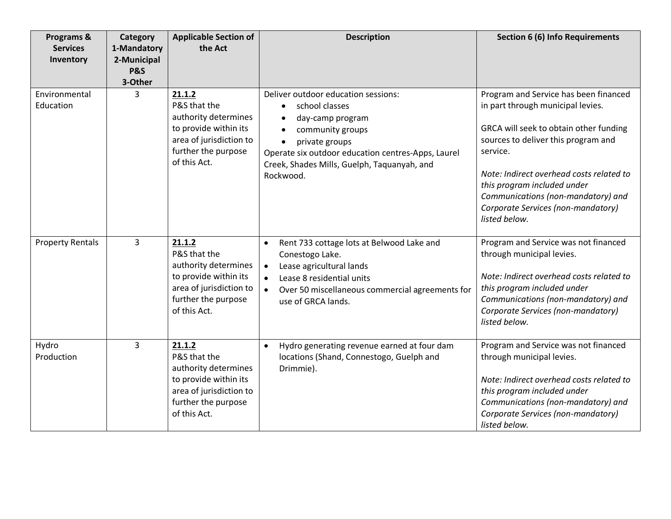| Programs &<br><b>Services</b><br>Inventory | Category<br>1-Mandatory<br>2-Municipal<br><b>P&amp;S</b><br>3-Other | <b>Applicable Section of</b><br>the Act                                                                                                   | <b>Description</b>                                                                                                                                                                                                                                          | <b>Section 6 (6) Info Requirements</b>                                                                                                                                                                                                                                                                                                          |
|--------------------------------------------|---------------------------------------------------------------------|-------------------------------------------------------------------------------------------------------------------------------------------|-------------------------------------------------------------------------------------------------------------------------------------------------------------------------------------------------------------------------------------------------------------|-------------------------------------------------------------------------------------------------------------------------------------------------------------------------------------------------------------------------------------------------------------------------------------------------------------------------------------------------|
| Environmental<br>Education                 | 3                                                                   | 21.1.2<br>P&S that the<br>authority determines<br>to provide within its<br>area of jurisdiction to<br>further the purpose<br>of this Act. | Deliver outdoor education sessions:<br>school classes<br>$\bullet$<br>day-camp program<br>community groups<br>private groups<br>$\bullet$<br>Operate six outdoor education centres-Apps, Laurel<br>Creek, Shades Mills, Guelph, Taquanyah, and<br>Rockwood. | Program and Service has been financed<br>in part through municipal levies.<br>GRCA will seek to obtain other funding<br>sources to deliver this program and<br>service.<br>Note: Indirect overhead costs related to<br>this program included under<br>Communications (non-mandatory) and<br>Corporate Services (non-mandatory)<br>listed below. |
| <b>Property Rentals</b>                    | 3                                                                   | 21.1.2<br>P&S that the<br>authority determines<br>to provide within its<br>area of jurisdiction to<br>further the purpose<br>of this Act. | Rent 733 cottage lots at Belwood Lake and<br>$\bullet$<br>Conestogo Lake.<br>Lease agricultural lands<br>$\bullet$<br>Lease 8 residential units<br>Over 50 miscellaneous commercial agreements for<br>$\bullet$<br>use of GRCA lands.                       | Program and Service was not financed<br>through municipal levies.<br>Note: Indirect overhead costs related to<br>this program included under<br>Communications (non-mandatory) and<br>Corporate Services (non-mandatory)<br>listed below.                                                                                                       |
| Hydro<br>Production                        | $\overline{3}$                                                      | 21.1.2<br>P&S that the<br>authority determines<br>to provide within its<br>area of jurisdiction to<br>further the purpose<br>of this Act. | Hydro generating revenue earned at four dam<br>$\bullet$<br>locations (Shand, Connestogo, Guelph and<br>Drimmie).                                                                                                                                           | Program and Service was not financed<br>through municipal levies.<br>Note: Indirect overhead costs related to<br>this program included under<br>Communications (non-mandatory) and<br>Corporate Services (non-mandatory)<br>listed below.                                                                                                       |